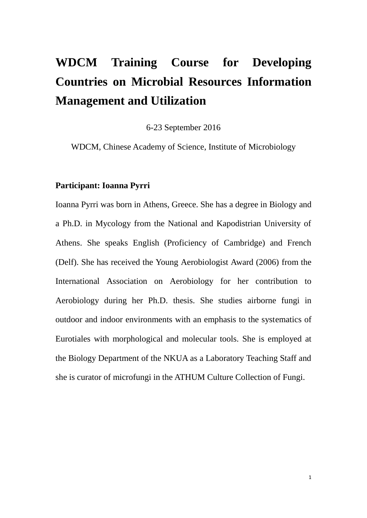# **WDCM Training Course for Developing Countries on Microbial Resources Information Management and Utilization**

6-23 September 2016

WDCM, Chinese Academy of Science, Institute of Microbiology

#### **Participant: Ioanna Pyrri**

Ioanna Pyrri was born in Athens, Greece. She has a degree in Biology and a Ph.D. in Mycology from the National and Kapodistrian University of Athens. She speaks English (Proficiency of Cambridge) and French (Delf). She has received the Young Aerobiologist Award (2006) from the International Association on Aerobiology for her contribution to Aerobiology during her Ph.D. thesis. She studies airborne fungi in outdoor and indoor environments with an emphasis to the systematics of Eurotiales with morphological and molecular tools. She is employed at the Biology Department of the NKUA as a Laboratory Teaching Staff and she is curator of microfungi in the ATHUM Culture Collection of Fungi.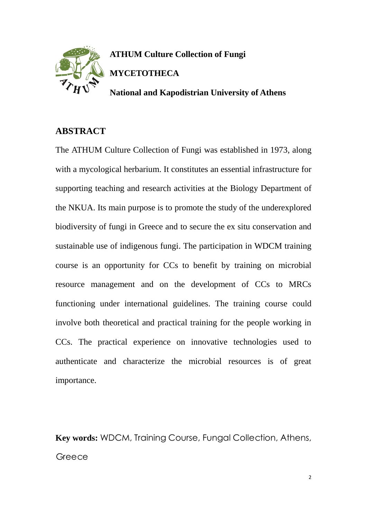

**ATHUM Culture Collection of Fungi MYCETOTHECA**

**National and Kapodistrian University of Athens**

### **ABSTRACT**

The ATHUM Culture Collection of Fungi was established in 1973, along with a mycological herbarium. It constitutes an essential infrastructure for supporting teaching and research activities at the Biology Department of the NKUA. Its main purpose is to promote the study of the underexplored biodiversity of fungi in Greece and to secure the ex situ conservation and sustainable use of indigenous fungi. The participation in WDCM training course is an opportunity for CCs to benefit by training on microbial resource management and on the development of CCs to MRCs functioning under international guidelines. The training course could involve both theoretical and practical training for the people working in CCs. The practical experience on innovative technologies used to authenticate and characterize the microbial resources is of great importance.

**Key words:** WDCM, Training Course, Fungal Collection, Athens, **Greece**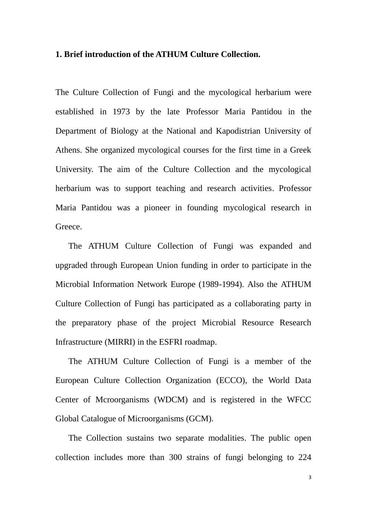#### **1. Brief introduction of the ATHUM Culture Collection.**

The Culture Collection of Fungi and the mycological herbarium were established in 1973 by the late Professor Maria Pantidou in the Department of Biology at the National and Kapodistrian University of Athens. She organized mycological courses for the first time in a Greek University. The aim of the Culture Collection and the mycological herbarium was to support teaching and research activities. Professor Maria Pantidou was a pioneer in founding mycological research in Greece.

The ATHUM Culture Collection of Fungi was expanded and upgraded through European Union funding in order to participate in the Microbial Information Network Europe (1989-1994). Also the ATHUM Culture Collection of Fungi has participated as a collaborating party in the preparatory phase of the project Microbial Resource Research Infrastructure (MIRRI) in the ESFRI roadmap.

The ATHUM Culture Collection of Fungi is a member of the European Culture Collection Organization (ECCO), the World Data Center of Mcroorganisms (WDCM) and is registered in the WFCC Global Catalogue of Microorganisms (GCM).

The Collection sustains two separate modalities. The public open collection includes more than 300 strains of fungi belonging to 224

3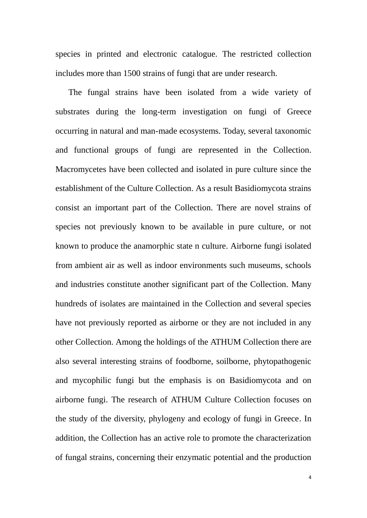species in printed and electronic catalogue. The restricted collection includes more than 1500 strains of fungi that are under research.

The fungal strains have been isolated from a wide variety of substrates during the long-term investigation on fungi of Greece occurring in natural and man-made ecosystems. Today, several taxonomic and functional groups of fungi are represented in the Collection. Macromycetes have been collected and isolated in pure culture since the establishment of the Culture Collection. As a result Basidiomycota strains consist an important part of the Collection. There are novel strains of species not previously known to be available in pure culture, or not known to produce the anamorphic state n culture. Airborne fungi isolated from ambient air as well as indoor environments such museums, schools and industries constitute another significant part of the Collection. Many hundreds of isolates are maintained in the Collection and several species have not previously reported as airborne or they are not included in any other Collection. Among the holdings of the ATHUM Collection there are also several interesting strains of foodborne, soilborne, phytopathogenic and mycophilic fungi but the emphasis is on Basidiomycota and on airborne fungi. The research of ATHUM Culture Collection focuses on the study of the diversity, phylogeny and ecology of fungi in Greece. In addition, the Collection has an active role to promote the characterization of fungal strains, concerning their enzymatic potential and the production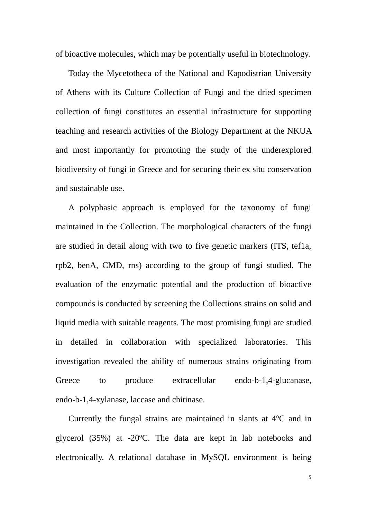of bioactive molecules, which may be potentially useful in biotechnology.

Today the Mycetotheca of the National and Kapodistrian University of Athens with its Culture Collection of Fungi and the dried specimen collection of fungi constitutes an essential infrastructure for supporting teaching and research activities of the Biology Department at the NKUA and most importantly for promoting the study of the underexplored biodiversity of fungi in Greece and for securing their ex situ conservation and sustainable use.

A polyphasic approach is employed for the taxonomy of fungi maintained in the Collection. The morphological characters of the fungi are studied in detail along with two to five genetic markers (ITS, tef1a, rpb2, benA, CMD, rns) according to the group of fungi studied. The evaluation of the enzymatic potential and the production of bioactive compounds is conducted by screening the Collections strains on solid and liquid media with suitable reagents. The most promising fungi are studied in detailed in collaboration with specialized laboratories. This investigation revealed the ability of numerous strains originating from Greece to produce extracellular endo-b-1,4-glucanase, endo-b-1,4-xylanase, laccase and chitinase.

Currently the fungal strains are maintained in slants at  $4^{\circ}$ C and in glycerol  $(35%)$  at -20°C. The data are kept in lab notebooks and electronically. A relational database in MySQL environment is being

5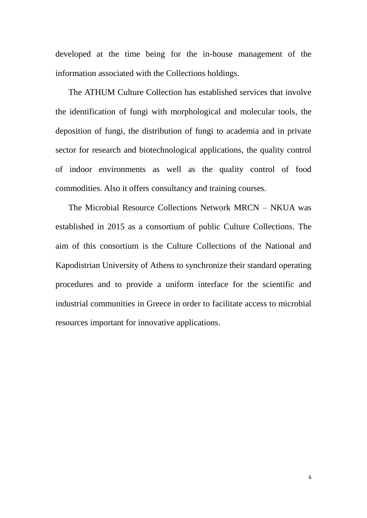developed at the time being for the in-house management of the information associated with the Collections holdings.

The ATHUM Culture Collection has established services that involve the identification of fungi with morphological and molecular tools, the deposition of fungi, the distribution of fungi to academia and in private sector for research and biotechnological applications, the quality control of indoor environments as well as the quality control of food commodities. Also it offers consultancy and training courses.

The Microbial Resource Collections Network MRCN – NKUA was established in 2015 as a consortium of public Culture Collections. The aim of this consortium is the Culture Collections of the National and Kapodistrian University of Athens to synchronize their standard operating procedures and to provide a uniform interface for the scientific and industrial communities in Greece in order to facilitate access to microbial resources important for innovative applications.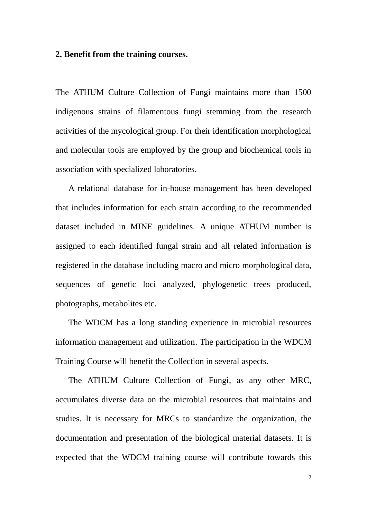#### **2. Benefit from the training courses.**

The ATHUM Culture Collection of Fungi maintains more than 1500 indigenous strains of filamentous fungi stemming from the research activities of the mycological group. For their identification morphological and molecular tools are employed by the group and biochemical tools in association with specialized laboratories.

A relational database for in-house management has been developed that includes information for each strain according to the recommended dataset included in MINE guidelines. A unique ATHUM number is assigned to each identified fungal strain and all related information is registered in the database including macro and micro morphological data, sequences of genetic loci analyzed, phylogenetic trees produced, photographs, metabolites etc.

The WDCM has a long standing experience in microbial resources information management and utilization. The participation in the WDCM Training Course will benefit the Collection in several aspects.

The ATHUM Culture Collection of Fungi, as any other MRC, accumulates diverse data on the microbial resources that maintains and studies. It is necessary for MRCs to standardize the organization, the documentation and presentation of the biological material datasets. It is expected that the WDCM training course will contribute towards this

7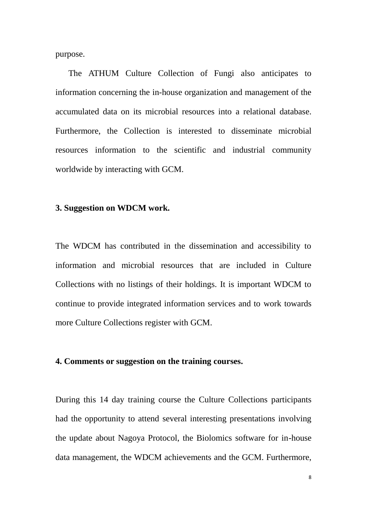purpose.

The ATHUM Culture Collection of Fungi also anticipates to information concerning the in-house organization and management of the accumulated data on its microbial resources into a relational database. Furthermore, the Collection is interested to disseminate microbial resources information to the scientific and industrial community worldwide by interacting with GCM.

#### **3. Suggestion on WDCM work.**

The WDCM has contributed in the dissemination and accessibility to information and microbial resources that are included in Culture Collections with no listings of their holdings. It is important WDCM to continue to provide integrated information services and to work towards more Culture Collections register with GCM.

#### **4. Comments or suggestion on the training courses.**

During this 14 day training course the Culture Collections participants had the opportunity to attend several interesting presentations involving the update about Nagoya Protocol, the Biolomics software for in-house data management, the WDCM achievements and the GCM. Furthermore,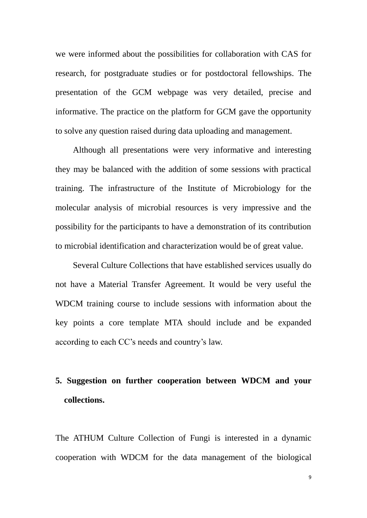we were informed about the possibilities for collaboration with CAS for research, for postgraduate studies or for postdoctoral fellowships. The presentation of the GCM webpage was very detailed, precise and informative. The practice on the platform for GCM gave the opportunity to solve any question raised during data uploading and management.

Although all presentations were very informative and interesting they may be balanced with the addition of some sessions with practical training. The infrastructure of the Institute of Microbiology for the molecular analysis of microbial resources is very impressive and the possibility for the participants to have a demonstration of its contribution to microbial identification and characterization would be of great value.

Several Culture Collections that have established services usually do not have a Material Transfer Agreement. It would be very useful the WDCM training course to include sessions with information about the key points a core template MTA should include and be expanded according to each CC's needs and country's law.

## **5. Suggestion on further cooperation between WDCM and your collections.**

The ATHUM Culture Collection of Fungi is interested in a dynamic cooperation with WDCM for the data management of the biological